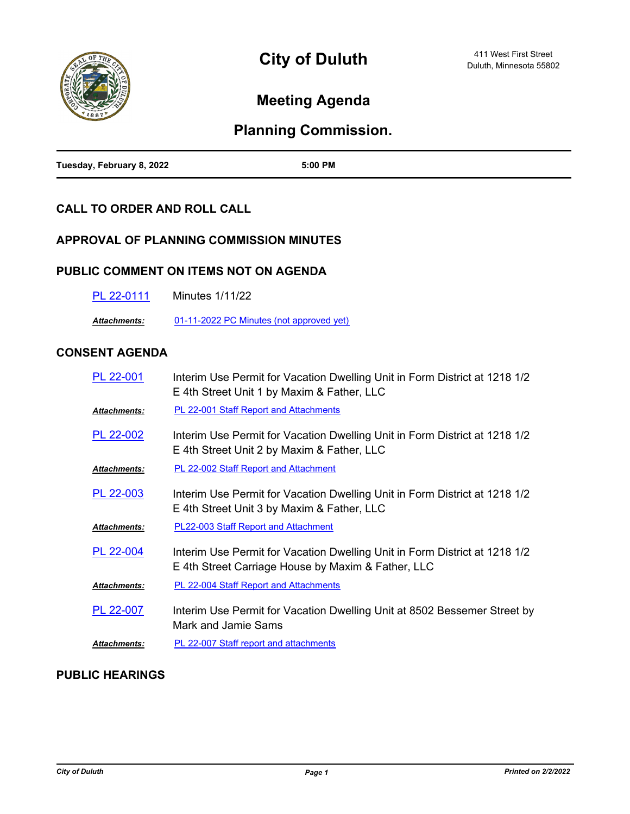

## **Meeting Agenda**

# **Planning Commission.**

| Tuesday, February 8, 2022 | 5:00 PM |
|---------------------------|---------|

## **CALL TO ORDER AND ROLL CALL**

## **APPROVAL OF PLANNING COMMISSION MINUTES**

## **PUBLIC COMMENT ON ITEMS NOT ON AGENDA**

| PL 22-0111 | <b>Minutes 1/11/22</b> |
|------------|------------------------|
|------------|------------------------|

*Attachments:* [01-11-2022 PC Minutes \(not approved yet\)](http://duluth-mn.legistar.com/gateway.aspx?M=F&ID=c92c0706-d192-4492-a1c6-1486d5f33f56.pdf)

## **CONSENT AGENDA**

| PL 22-001            | Interim Use Permit for Vacation Dwelling Unit in Form District at 1218 1/2<br>E 4th Street Unit 1 by Maxim & Father, LLC         |
|----------------------|----------------------------------------------------------------------------------------------------------------------------------|
| <u> Attachments:</u> | PL 22-001 Staff Report and Attachments                                                                                           |
| PL 22-002            | Interim Use Permit for Vacation Dwelling Unit in Form District at 1218 1/2<br>E 4th Street Unit 2 by Maxim & Father, LLC         |
| <u> Attachments:</u> | <b>PL 22-002 Staff Report and Attachment</b>                                                                                     |
| PL 22-003            | Interim Use Permit for Vacation Dwelling Unit in Form District at 1218 1/2<br>E 4th Street Unit 3 by Maxim & Father, LLC         |
| <u> Attachments:</u> | <b>PL22-003 Staff Report and Attachment</b>                                                                                      |
| PL 22-004            | Interim Use Permit for Vacation Dwelling Unit in Form District at 1218 1/2<br>E 4th Street Carriage House by Maxim & Father, LLC |
| Attachments:         | PL 22-004 Staff Report and Attachments                                                                                           |
| PL 22-007            | Interim Use Permit for Vacation Dwelling Unit at 8502 Bessemer Street by<br>Mark and Jamie Sams                                  |
| Attachments:         | PL 22-007 Staff report and attachments                                                                                           |

## **PUBLIC HEARINGS**